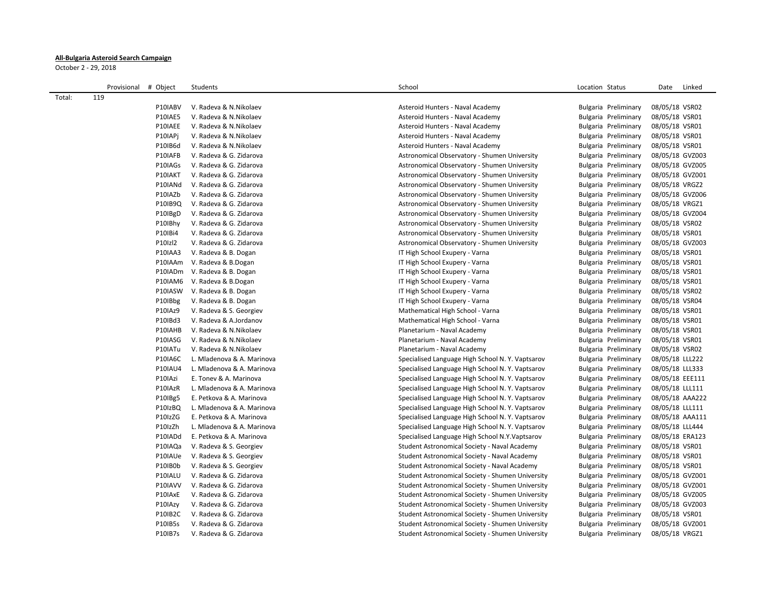## **All-Bulgaria Asteroid Search Campaign**

October 2 - 29, 2018

|        | Provisional # Object |                    | Students                                           | School                                           | Location Status                              | Linked<br>Date  |
|--------|----------------------|--------------------|----------------------------------------------------|--------------------------------------------------|----------------------------------------------|-----------------|
| Total: | 119                  |                    |                                                    |                                                  |                                              |                 |
|        |                      | P10IABV            | V. Radeva & N. Nikolaev                            | Asteroid Hunters - Naval Academy                 | Bulgaria Preliminary                         | 08/05/18 VSR02  |
|        |                      | P10IAE5            | V. Radeva & N. Nikolaev                            | Asteroid Hunters - Naval Academy                 | Bulgaria Preliminary                         | 08/05/18 VSR01  |
|        |                      | P10IAEE            | V. Radeva & N. Nikolaev                            | Asteroid Hunters - Naval Academy                 | Bulgaria Preliminary                         | 08/05/18 VSR01  |
|        |                      | P10IAPj            | V. Radeva & N.Nikolaev                             | Asteroid Hunters - Naval Academy                 | Bulgaria Preliminary                         | 08/05/18 VSR01  |
|        |                      | P10IB6d            | V. Radeva & N. Nikolaev                            | Asteroid Hunters - Naval Academy                 | Bulgaria Preliminary                         | 08/05/18 VSR01  |
|        |                      | P10IAFB            | V. Radeva & G. Zidarova                            | Astronomical Observatory - Shumen University     | Bulgaria Preliminary                         | 08/05/18 GVZ003 |
|        |                      | P10IAGs            | V. Radeva & G. Zidarova                            | Astronomical Observatory - Shumen University     | Bulgaria Preliminary                         | 08/05/18 GVZ005 |
|        |                      | P10IAKT            | V. Radeva & G. Zidarova                            | Astronomical Observatory - Shumen University     | Bulgaria Preliminary                         | 08/05/18 GVZ001 |
|        |                      | P10IANd            | V. Radeva & G. Zidarova                            | Astronomical Observatory - Shumen University     | Bulgaria Preliminary                         | 08/05/18 VRGZ2  |
|        |                      | P10IAZb            | V. Radeva & G. Zidarova                            | Astronomical Observatory - Shumen University     | Bulgaria Preliminary                         | 08/05/18 GVZ006 |
|        |                      | P10IB9Q            | V. Radeva & G. Zidarova                            | Astronomical Observatory - Shumen University     | Bulgaria Preliminary                         | 08/05/18 VRGZ1  |
|        |                      | P10IBgD            | V. Radeva & G. Zidarova                            | Astronomical Observatory - Shumen University     | Bulgaria Preliminary                         | 08/05/18 GVZ004 |
|        |                      | P10IBhy            | V. Radeva & G. Zidarova                            | Astronomical Observatory - Shumen University     | Bulgaria Preliminary                         | 08/05/18 VSR02  |
|        |                      | P10IBi4            | V. Radeva & G. Zidarova                            | Astronomical Observatory - Shumen University     | Bulgaria Preliminary                         | 08/05/18 VSR01  |
|        |                      | P10Izl2            | V. Radeva & G. Zidarova                            | Astronomical Observatory - Shumen University     | Bulgaria Preliminary                         | 08/05/18 GVZ003 |
|        |                      | <b>P10IAA3</b>     | V. Radeva & B. Dogan                               | IT High School Exupery - Varna                   | Bulgaria Preliminary                         | 08/05/18 VSR01  |
|        |                      | P10IAAm            | V. Radeva & B.Dogan                                | IT High School Exupery - Varna                   | Bulgaria Preliminary                         | 08/05/18 VSR01  |
|        |                      | P10IADm            | V. Radeva & B. Dogan                               | IT High School Exupery - Varna                   | Bulgaria Preliminary                         | 08/05/18 VSR01  |
|        |                      | P10IAM6            | V. Radeva & B.Dogan                                | IT High School Exupery - Varna                   | Bulgaria Preliminary                         | 08/05/18 VSR01  |
|        |                      | P10IASW            | V. Radeva & B. Dogan                               | IT High School Exupery - Varna                   | Bulgaria Preliminary                         | 08/05/18 VSR02  |
|        |                      | P10IBbg            | V. Radeva & B. Dogan                               | IT High School Exupery - Varna                   | Bulgaria Preliminary                         | 08/05/18 VSR04  |
|        |                      | <b>P10IAz9</b>     | V. Radeva & S. Georgiev                            | Mathematical High School - Varna                 | Bulgaria Preliminary                         | 08/05/18 VSR01  |
|        |                      | P10IBd3            | V. Radeva & A.Jordanov                             | Mathematical High School - Varna                 | Bulgaria Preliminary                         | 08/05/18 VSR01  |
|        |                      | P10IAHB            | V. Radeva & N. Nikolaev                            | Planetarium - Naval Academy                      | Bulgaria Preliminary                         | 08/05/18 VSR01  |
|        |                      | P10IASG            | V. Radeva & N. Nikolaev                            | Planetarium - Naval Academy                      | Bulgaria Preliminary                         | 08/05/18 VSR01  |
|        |                      | P10IATu            | V. Radeva & N. Nikolaev                            | Planetarium - Naval Academy                      | Bulgaria Preliminary                         | 08/05/18 VSR02  |
|        |                      | <b>P10IA6C</b>     | L. Mladenova & A. Marinova                         | Specialised Language High School N.Y. Vaptsarov  | Bulgaria Preliminary                         | 08/05/18 LLL222 |
|        |                      | <b>P10IAU4</b>     | L. Mladenova & A. Marinova                         | Specialised Language High School N.Y. Vaptsarov  | Bulgaria Preliminary                         | 08/05/18 LLL333 |
|        |                      | P10IAzi            | E. Tonev & A. Marinova                             | Specialised Language High School N.Y. Vaptsarov  | Bulgaria Preliminary                         | 08/05/18 EEE111 |
|        |                      | P10IAzR            | L. Mladenova & A. Marinova                         | Specialised Language High School N.Y. Vaptsarov  | Bulgaria Preliminary                         | 08/05/18 LLL111 |
|        |                      | P10IBg5            | E. Petkova & A. Marinova                           | Specialised Language High School N.Y. Vaptsarov  | Bulgaria Preliminary                         | 08/05/18 AAA222 |
|        |                      | P10IzBQ            | L. Mladenova & A. Marinova                         | Specialised Language High School N.Y. Vaptsarov  | Bulgaria Preliminary                         | 08/05/18 LLL111 |
|        |                      | P10IzZG            | E. Petkova & A. Marinova                           | Specialised Language High School N.Y. Vaptsarov  | Bulgaria Preliminary                         | 08/05/18 AAA111 |
|        |                      | P10IzZh            | L. Mladenova & A. Marinova                         | Specialised Language High School N.Y. Vaptsarov  | Bulgaria Preliminary                         | 08/05/18 LLL444 |
|        |                      | P10IADd            | E. Petkova & A. Marinova                           | Specialised Language High School N.Y.Vaptsarov   | Bulgaria Preliminary                         | 08/05/18 ERA123 |
|        |                      | P10IAQa            | V. Radeva & S. Georgiev                            | Student Astronomical Society - Naval Academy     | Bulgaria Preliminary                         | 08/05/18 VSR01  |
|        |                      | P10IAUe            | V. Radeva & S. Georgiev                            | Student Astronomical Society - Naval Academy     | Bulgaria Preliminary                         | 08/05/18 VSR01  |
|        |                      | P10IB0b            | V. Radeva & S. Georgiev                            | Student Astronomical Society - Naval Academy     | Bulgaria Preliminary                         | 08/05/18 VSR01  |
|        |                      | P10IALU            | V. Radeva & G. Zidarova                            | Student Astronomical Society - Shumen University | Bulgaria Preliminary                         | 08/05/18 GVZ001 |
|        |                      | P10IAVV            | V. Radeva & G. Zidarova                            | Student Astronomical Society - Shumen University | Bulgaria Preliminary                         | 08/05/18 GVZ001 |
|        |                      | P10IAxE            | V. Radeva & G. Zidarova                            | Student Astronomical Society - Shumen University | Bulgaria Preliminary                         | 08/05/18 GVZ005 |
|        |                      | P10IAzy            | V. Radeva & G. Zidarova                            | Student Astronomical Society - Shumen University | Bulgaria Preliminary                         | 08/05/18 GVZ003 |
|        |                      | P10IB2C<br>P10IB5s | V. Radeva & G. Zidarova<br>V. Radeva & G. Zidarova | Student Astronomical Society - Shumen University | Bulgaria Preliminary                         | 08/05/18 VSR01  |
|        |                      | P10IB7s            | V. Radeva & G. Zidarova                            | Student Astronomical Society - Shumen University | Bulgaria Preliminary<br>Bulgaria Preliminary | 08/05/18 GVZ001 |
|        |                      |                    |                                                    | Student Astronomical Society - Shumen University |                                              | 08/05/18 VRGZ1  |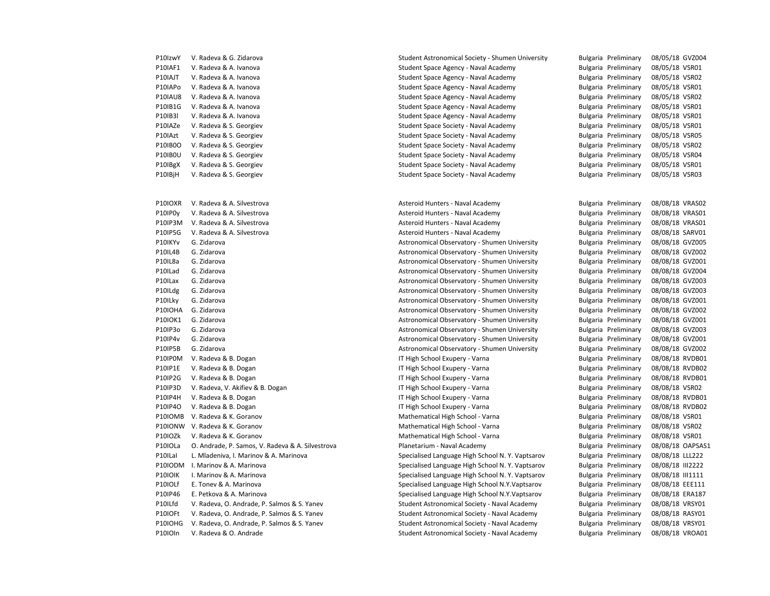| P10IzwY        | V. Radeva & G. Zidarova |
|----------------|-------------------------|
| <b>P10IAF1</b> | V. Radeva & A. Ivanova  |
| P10IAJT        | V. Radeva & A. Ivanova  |
| P10IAPo        | V. Radeva & A. Ivanova  |
| P10IAU8        | V. Radeva & A. Ivanova  |
| P10IB1G        | V. Radeva & A. Ivanova  |
| P10IB3I        | V. Radeva & A. Ivanova  |
| P10IAZe        | V. Radeva & S. Georgiev |
| P10IAzt        | V. Radeva & S. Georgiev |
| P10IB0O        | V. Radeva & S. Georgiev |
| <b>P10IB0U</b> | V. Radeva & S. Georgiev |
| P10IBgX        | V. Radeva & S. Georgiev |
| P10IBjH        | V. Radeva & S. Georgiev |

P10IP0y V. Radeva & A. Silvestrova e e a metal asteroid Hunters - Naval Academy e a metal Bulgaria Preliminary 08/08/18 VRAS01 P10IP3M V. Radeva & A. Silvestrova e e a metal asteroid Hunters - Naval Academy e a metal Bulgaria Preliminary 08/08/18 VRAS01 P10IP5G V. Radeva & A. Silvestrova entertainment controlled Hunters - Naval Academy entertainment and Bulgaria Preliminary 08/08/18 SARV01 P10IKYv G. Zidarova **Astronomical Observatory - Shumen University** Bulgaria Preliminary 08/08/18 GVZ005 P10IL4B G. Zidarova Astronomical Observatory - Shumen University Bulgaria Preliminary 08/08/18 GVZ002 P10IL8a G. Zidarova **Astronomical Observatory - Shumen University** Bulgaria Preliminary 08/08/18 GVZ001 P10ILad G. Zidarova **Astronomical Observatory - Shumen University** Bulgaria Preliminary 08/08/18 GVZ004 P10ILax G. Zidarova Astronomical Observatory - Shumen University Bulgaria Preliminary 08/08/18 GVZ003 P10ILdg G. Zidarova **Astronomical Observatory - Shumen University** Bulgaria Preliminary 08/08/18 GVZ003 Preliminary 08/08/18 GVZ003 P10ILky G. Zidarova **Astronomical Observatory - Shumen University** Bulgaria Preliminary 08/08/18 GVZ001 P10IOHA G. Zidarova Astronomical Observatory - Shumen University Bulgaria Preliminary 08/08/18 GVZ002 P10IOK1 G. Zidarova Astronomical Observatory - Shumen University Bulgaria Preliminary 08/08/18 GVZ001 P10IP3o G. Zidarova **Astronomical Observatory - Shumen University** Bulgaria Preliminary 08/08/18 GVZ003 Pulgaria Preliminary 08/08/18 GVZ003 P10IP4v G. Zidarova entertainment controlled astronomical Observatory - Shumen University Bulgaria Preliminary 08/08/18 GVZ001 P10IP5B G. Zidarova Astronomical Observatory - Shumen University Bulgaria Preliminary 08/08/18 GVZ002 P10IP0M V. Radeva & B. Dogan **IT High School Exupery - Varna** Bulgaria Preliminary 08/08/18 RVDB01 P10IP1E V. Radeva & B. Dogan **IT High School Exupery - Varna** Bulgaria Preliminary 08/08/18 RVDB02 P10IP2G V. Radeva & B. Dogan **IT High School Exupery - Varna** Bulgaria Preliminary 08/08/18 RVDB01 P10IP3D V. Radeva, V. Akifiev & B. Dogan IT High School Exupery - Varna Bulgaria Preliminary 08/08/18 VSR02 P10IP4H V. Radeva & B. Dogan International Company IT High School Exupery - Varna Publishing Bulgaria Preliminary 08/08/18 RVDB01 P10IP4O V. Radeva & B. Dogan **IT High School Exupery - Varna** Bulgaria Preliminary 08/08/18 RVDB02 P10IOMB V. Radeva & K. Goranov The Mathematical High School - Varna The Mulgaria Preliminary 08/08/18 VSR01 P10IONW V. Radeva & K. Goranov The Mathematical High School - Varna The Mulgaria Preliminary 08/08/18 VSR02 P10IOZk V. Radeva & K. Goranov Charles Mathematical High School - Varna Charles Bulgaria Preliminary 08/08/18 VSR01 P10IOLa O. Andrade, P. Samos, V. Radeva & A. Silvestrova Planetarium - Naval Academy Bulgaria Preliminary 08/08/18 OAPSAS1 P10ILal L. Mladeniva, I. Marinov & A. Marinova Superialised Language High School N. Y. Vaptsarov Bulgaria Preliminary 08/08/18 LLL222 P10IODM I. Marinov & A. Marinova Specialised Language High School N. Y. Vaptsarov Bulgaria Preliminary 08/08/18 III2222 P10IOIK I. Marinov & A. Marinova Specialised Language High School N. Y. Vaptsarov Bulgaria Preliminary 08/08/18 III1111 P10IOLf E. Tonev & A. Marinova Specialised Language High School N.Y.Vaptsarov Bulgaria Preliminary 08/08/18 EEE111 P10IP46 E. Petkova & A. Marinova Specialised Language High School N.Y.Vaptsarov Bulgaria Preliminary 08/08/18 ERA187 P10ILfd V. Radeva, O. Andrade, P. Salmos & S. Yanev Student Astronomical Society - Naval Academy Bulgaria Preliminary 08/08/18 VRSY01 P10IOFt V. Radeva, O. Andrade, P. Salmos & S. Yanev Student Astronomical Society - Naval Academy Bulgaria Preliminary 08/08/18 RASY01 P10IOHG V. Radeva, O. Andrade, P. Salmos & S. Yanev Student Astronomical Society - Naval Academy Bulgaria Preliminary 08/08/18 VRSY01 P10IOIn V. Radeva & O. Andrade Student Astronomical Society - Naval Academy Bulgaria Preliminary 08/08/18 VROA01

Student Astronomical Society - Shumen University Bulgaria Preliminary 08/05/18 GVZ004 Student Space Agency - Naval Academy Bulgaria Preliminary 08/05/18 VSR01 P10IAJT V. Radeva & A. Ivanova Student Space Agency - Naval Academy Bulgaria Preliminary 08/05/18 VSR02 P10IAPo V. Radeva & A. Ivanova Student Space Agency - Naval Academy Bulgaria Preliminary 08/05/18 VSR01 P10IAU8 V. Radeva & A. Ivanova Student Space Agency - Naval Academy Bulgaria Preliminary 08/05/18 VSR02 P10IB1G V. Radeva & A. Ivanova Student Space Agency - Naval Academy Bulgaria Preliminary 08/05/18 VSR01 Student Space Agency - Naval Academy Bulgaria Preliminary 08/05/18 VSR01 Student Space Society - Naval Academy Bulgaria Preliminary 08/05/18 VSR01 Student Space Society - Naval Academy Bulgaria Preliminary 08/05/18 VSR05 P10IB0O V. Radeva & S. Georgiev Student Space Society - Naval Academy Bulgaria Preliminary 08/05/18 VSR02 P10IB0U V. Radeva & S. Georgiev Student Space Society - Naval Academy Bulgaria Preliminary 08/05/18 VSR04 P10IBgX V. Radeva & S. Georgiev Student Space Society - Naval Academy Bulgaria Preliminary 08/05/18 VSR01 Student Space Society - Naval Academy Bulgaria Preliminary 08/05/18 VSR03 P10IOXR V. Radeva & A. Silvestrova entertainment controlled Hunters - Naval Academy entertainment and Bulgaria Preliminary 08/08/18 VRAS02